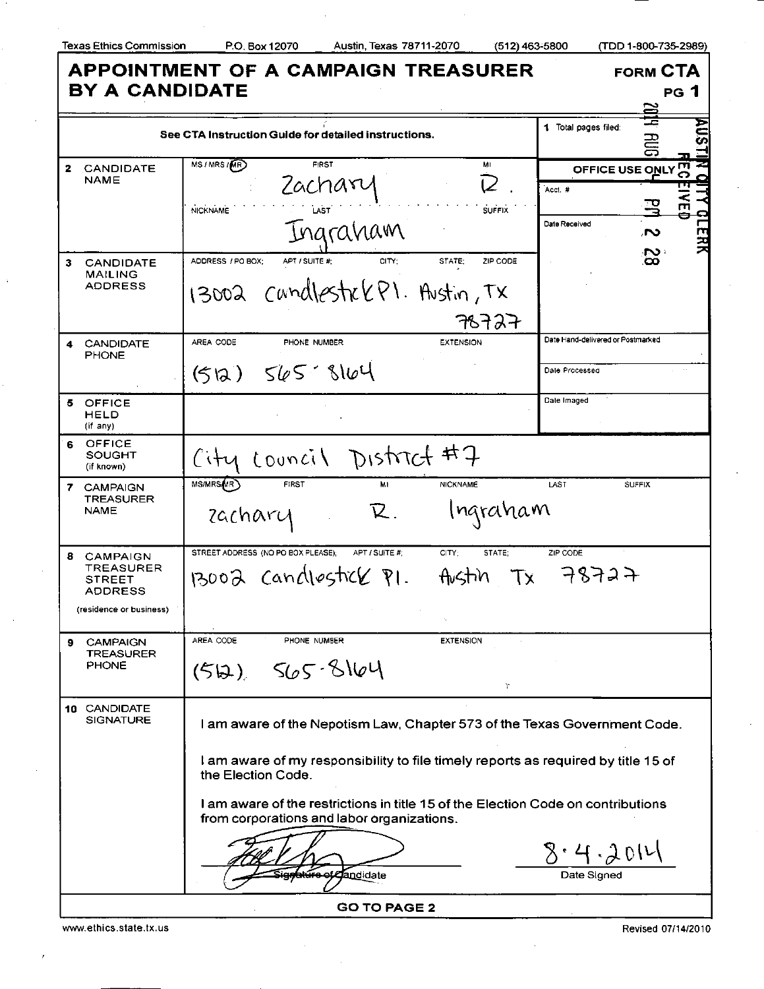I

Texas Ethics Commission P.O. Box 12070 Austin, Texas 78711-2070 (512)463-5800

|  | TDD 1-800-735-2989) |  |
|--|---------------------|--|
|--|---------------------|--|

| <b>APPOINTMENT OF A CAMPAIGN TREASURER</b><br><b>BY A CANDIDATE</b>         | <b>FORM CTA</b><br><b>PG 1</b>                                                                                                 |                                   |                |   |
|-----------------------------------------------------------------------------|--------------------------------------------------------------------------------------------------------------------------------|-----------------------------------|----------------|---|
|                                                                             |                                                                                                                                |                                   |                |   |
| See CTA Instruction Guide for detailed instructions.                        |                                                                                                                                | 1 Total pages filed:              | 箟<br><b>EB</b> |   |
| <b>CANDIDATE</b><br>2.                                                      | MS / MRS / MR)<br><b>FIRST</b><br>MI                                                                                           | OFFICE USE ONLY                   |                | m |
| NAME                                                                        | Zacharu                                                                                                                        | Acct.#                            |                |   |
|                                                                             | <b>NICKNAME</b><br><b>SUFFIX</b><br>LAST                                                                                       |                                   |                |   |
|                                                                             | Ingraham                                                                                                                       | Date Received                     | ്              |   |
| <b>CANDIDATE</b><br>3                                                       | CITY:<br>ZIP CODE<br>ADDRESS / PO BOX:<br>APT / SUITE #:<br>STATE:                                                             |                                   | သ              |   |
| <b>MAILING</b><br><b>ADDRESS</b>                                            | 13002 candlestre (P). Austin, TX                                                                                               |                                   |                |   |
|                                                                             | 78727                                                                                                                          |                                   |                |   |
| <b>CANDIDATE</b><br>4<br><b>PHONE</b>                                       | AREA CODE<br>PHONE NUMBER<br><b>EXTENSION</b>                                                                                  | Date Hand-delivered or Postmarked |                |   |
|                                                                             | $(512)$ $565$ $8164$                                                                                                           | Dale Processed                    |                |   |
| 5<br><b>OFFICE</b><br>HELD<br>$(i'$ any)                                    |                                                                                                                                | Date Imaged                       |                |   |
| OFFICE<br>SOUGHT<br>(if known)                                              | City Louncil District #7                                                                                                       |                                   |                |   |
| <b>CAMPAIGN</b><br>7.<br><b>TREASURER</b><br><b>NAME</b>                    | MS/MRS <sub>MR</sub><br><b>FIRST</b><br>MI<br><b>NICKNAME</b>                                                                  | LAST                              | <b>SUFFIX</b>  |   |
|                                                                             | Ingraham<br>K.<br>zachary                                                                                                      |                                   |                |   |
| <b>CAMPAIGN</b><br>8<br><b>TREASURER</b><br><b>STREET</b><br><b>ADDRESS</b> | STREET ADDRESS (NO PO BOX PLEASE);<br>APT / SUITE #:<br>CITY:<br>STATE:                                                        | ZIP CODE                          |                |   |
|                                                                             | $13002$ candlestick $R1$ .<br>Tx<br>Austin                                                                                     | 78727                             |                |   |
| (residence or business)                                                     |                                                                                                                                |                                   |                |   |
| CAMPAIGN<br>9                                                               | AREA CODE<br>PHONE NUMBER<br><b>EXTENSION</b>                                                                                  |                                   |                |   |
| TREASURER<br>PHONE                                                          | (512) 565.8164                                                                                                                 |                                   |                |   |
|                                                                             | r                                                                                                                              |                                   |                |   |
| 10 CANDIDATE<br><b>SIGNATURE</b>                                            | I am aware of the Nepotism Law, Chapter 573 of the Texas Government Code.                                                      |                                   |                |   |
|                                                                             | I am aware of my responsibility to file timely reports as required by title 15 of<br>the Election Code.                        |                                   |                |   |
|                                                                             | I am aware of the restrictions in title 15 of the Election Code on contributions<br>from corporations and labor organizations. |                                   |                |   |
|                                                                             |                                                                                                                                | 8.4.201                           |                |   |
|                                                                             | <b>Can</b> didate                                                                                                              | Date Signed                       |                |   |
| <b>GO TO PAGE 2</b>                                                         |                                                                                                                                |                                   |                |   |

www.ethics.state.tx.us Revised 07/14/2010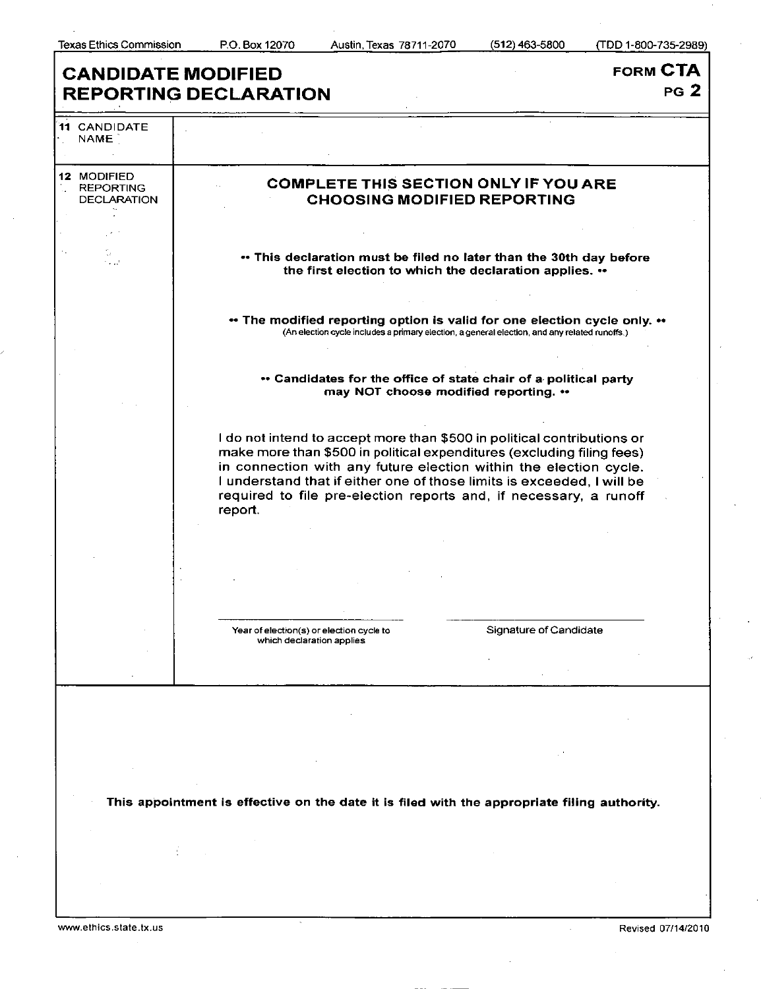ľ

| <b>FORM CTA</b><br><b>CANDIDATE MODIFIED</b>          |                                                                                                                                                                                                                                                                                                                                                                                  |
|-------------------------------------------------------|----------------------------------------------------------------------------------------------------------------------------------------------------------------------------------------------------------------------------------------------------------------------------------------------------------------------------------------------------------------------------------|
|                                                       | PG <sub>2</sub><br><b>REPORTING DECLARATION</b>                                                                                                                                                                                                                                                                                                                                  |
| <b>11 CANDIDATE</b><br><b>NAME</b>                    |                                                                                                                                                                                                                                                                                                                                                                                  |
| 12 MODIFIED<br><b>REPORTING</b><br><b>DECLARATION</b> | <b>COMPLETE THIS SECTION ONLY IF YOU ARE</b><br><b>CHOOSING MODIFIED REPORTING</b>                                                                                                                                                                                                                                                                                               |
|                                                       |                                                                                                                                                                                                                                                                                                                                                                                  |
|                                                       | • This declaration must be filed no later than the 30th day before<br>the first election to which the declaration applies. **                                                                                                                                                                                                                                                    |
|                                                       | ** The modified reporting option is valid for one election cycle only. **<br>(An election cycle includes a primary election, a general election, and any related runoffs.)                                                                                                                                                                                                       |
|                                                       | " Candidates for the office of state chair of a political party<br>may NOT choose modified reporting. **                                                                                                                                                                                                                                                                         |
|                                                       | I do not intend to accept more than \$500 in political contributions or<br>make more than \$500 in political expenditures (excluding filing fees)<br>in connection with any future election within the election cycle.<br>I understand that if either one of those limits is exceeded, I will be<br>required to file pre-election reports and, if necessary, a runoff<br>report. |
|                                                       |                                                                                                                                                                                                                                                                                                                                                                                  |
|                                                       |                                                                                                                                                                                                                                                                                                                                                                                  |
|                                                       | Signature of Candidate<br>Year of election(s) or election cycle to                                                                                                                                                                                                                                                                                                               |
|                                                       | which declaration applies                                                                                                                                                                                                                                                                                                                                                        |
|                                                       |                                                                                                                                                                                                                                                                                                                                                                                  |
|                                                       |                                                                                                                                                                                                                                                                                                                                                                                  |
|                                                       |                                                                                                                                                                                                                                                                                                                                                                                  |
|                                                       |                                                                                                                                                                                                                                                                                                                                                                                  |
|                                                       | This appointment is effective on the date it is filed with the appropriate filing authority.                                                                                                                                                                                                                                                                                     |
|                                                       |                                                                                                                                                                                                                                                                                                                                                                                  |
|                                                       |                                                                                                                                                                                                                                                                                                                                                                                  |
|                                                       |                                                                                                                                                                                                                                                                                                                                                                                  |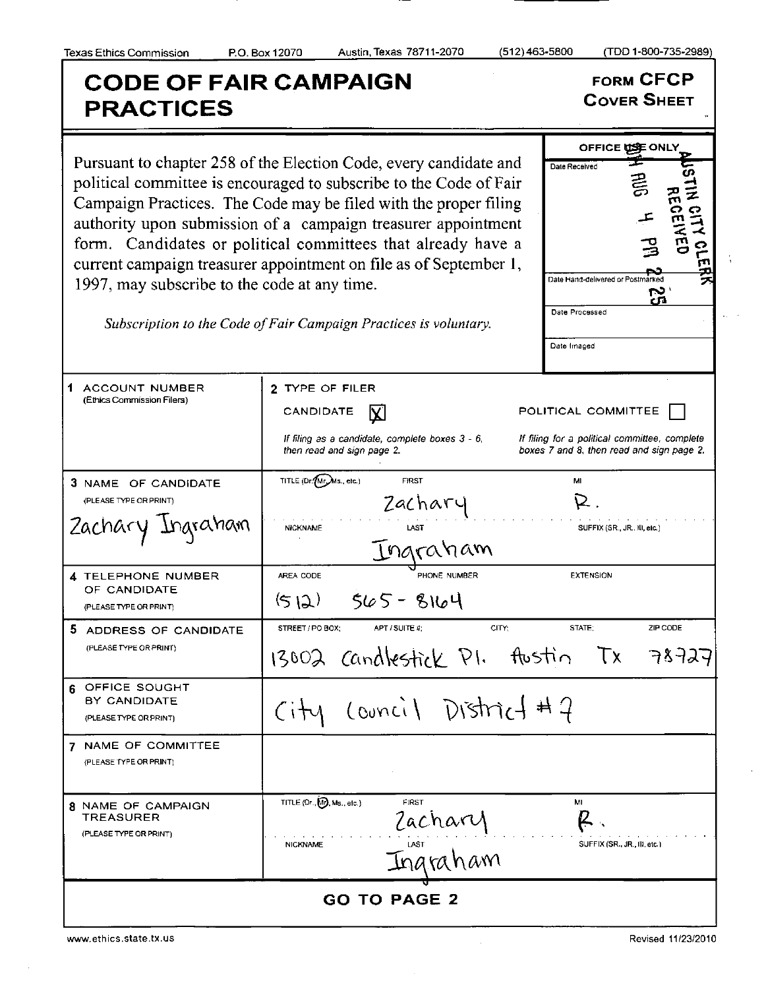## COD E OF FAIR CAMPAIGN FORMCFCP **PRACTICES** OFFICE USE ONLY Pursuant to chapter 258 of the Election Code, every candidate and Date Received cΩ political committee is encouraged to subscribe to the Code of Fair Campaign Practices. The Code may be filed with the proper filing authority upon submission of a campaign treasurer appointment  $\tilde{\mathbf{z}} \prec$  $\Xi$   $\Xi$ form. Candidates or political committees that already have a 크 **-** 드 current campaign treasurer appointment on file as of September 1, Date Hand-delivered or Postmarked 1997, may subscribe to the code at any time. ċп Date Processed Subscription to the Code of Fair Campaign Practices is voluntary. Date Imaged 1 ACCOUNT NUMBER 2 TYPE OF FILER (Ethics Commission Filers) CANDIDATE  $\left|\nabla \right|$  POLITICAL COMMITTEE If filing as a candidate, complete boxes  $3 - 6$ , If filing for a political committee, complete then read and sign page 2. boxes 7 and 8, then read and sign page 2. 3 NAME OF CANDIDATE TITLE (Dr./Wr./Ms., etc.) FIRST MI<br>  $Za\zeta h a\mathbf{v}$  R. (PLEASE TYPE OR PRINT) Zachary Ingraham Inaranam AREA CODE **EXTENSION**<br>PHONE NUMBER **EXTENSION 4 TELEPHONE NUMBER** OF CANDIDATE  $(512)$  565 - 8164 (PLEASE TYPE OR PRINT) STREET/PO BOX; APT/SUITE #; CITY; CITY; STATE; ZIP CODE 5 ADDRESS OF CANDIDATE (PLEASE TYPE OR PRINT) 13002 Candlestick PI. flustin みとヲスコ Tх 6 OFFICE SOUGHT  $(ownc)$  District # 7 BY CANDIDATE  $Citu$ (PLEASE TYPE OR PRINT) 7 NAME OF COMMITTEE (PLEASE TYPE OR PRINT) 8 NAME OF CAMPAIGN TITLE (Or., M), Ms., etc.) FIRST  $2aCharr$  ML  $\mathbb{R}$ . **TREASURER** (PLEASE TYPE OR PRINT) **GO TO PAGE 2**

www.ethics.state.tx.us Revised 11/23/2010 Revised 11/23/2010